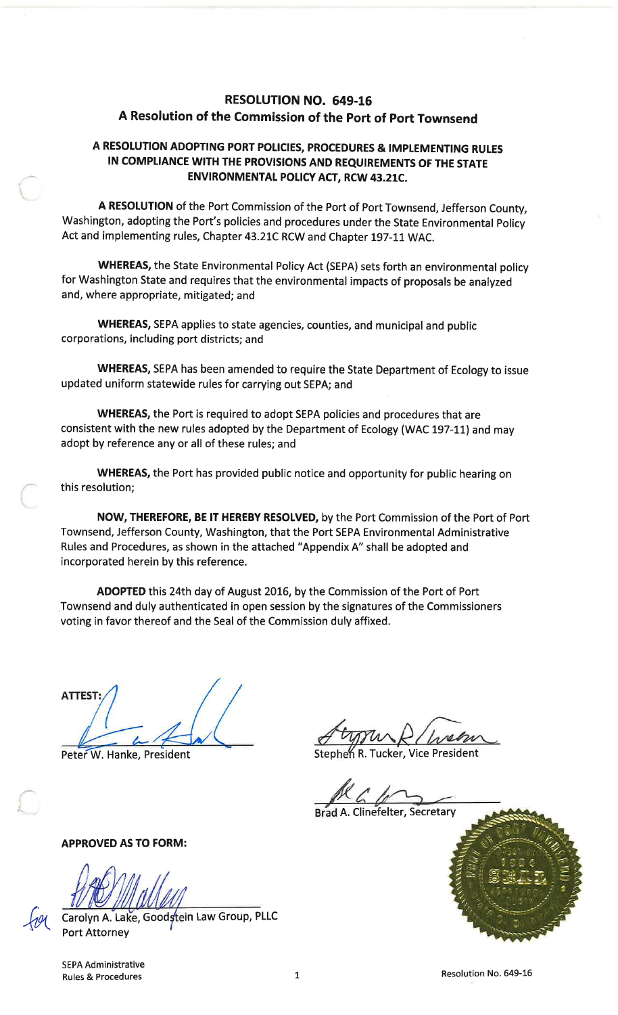# **RESOLUTION NO. 649-16** A Resolution of the Commission of the Port of Port Townsend

# A RESOLUTION ADOPTING PORT POLICIES, PROCEDURES & IMPLEMENTING RULES IN COMPLIANCE WITH THE PROVISIONS AND REQUIREMENTS OF THE STATE **ENVIRONMENTAL POLICY ACT, RCW 43.21C.**

A RESOLUTION of the Port Commission of the Port of Port Townsend, Jefferson County, Washington, adopting the Port's policies and procedures under the State Environmental Policy Act and implementing rules, Chapter 43.21C RCW and Chapter 197-11 WAC.

WHEREAS, the State Environmental Policy Act (SEPA) sets forth an environmental policy for Washington State and requires that the environmental impacts of proposals be analyzed and, where appropriate, mitigated; and

WHEREAS, SEPA applies to state agencies, counties, and municipal and public corporations, including port districts; and

WHEREAS, SEPA has been amended to require the State Department of Ecology to issue updated uniform statewide rules for carrying out SEPA; and

WHEREAS, the Port is required to adopt SEPA policies and procedures that are consistent with the new rules adopted by the Department of Ecology (WAC 197-11) and may adopt by reference any or all of these rules; and

WHEREAS, the Port has provided public notice and opportunity for public hearing on this resolution;

NOW, THEREFORE, BE IT HEREBY RESOLVED, by the Port Commission of the Port of Port Townsend, Jefferson County, Washington, that the Port SEPA Environmental Administrative Rules and Procedures, as shown in the attached "Appendix A" shall be adopted and incorporated herein by this reference.

ADOPTED this 24th day of August 2016, by the Commission of the Port of Port Townsend and duly authenticated in open session by the signatures of the Commissioners voting in favor thereof and the Seal of the Commission duly affixed.

ATTEST:

Peter W. Hanke, President

Stephen R. Tucker, Vice President

**Brad A. Clinefelter, Secretary** 



**APPROVED AS TO FORM:** 

Carolyn A. Lake, Goodstein Law Group, PLLC **Port Attorney** 

SEPA Administrative **Rules & Procedures** 

 $\mathbf{1}$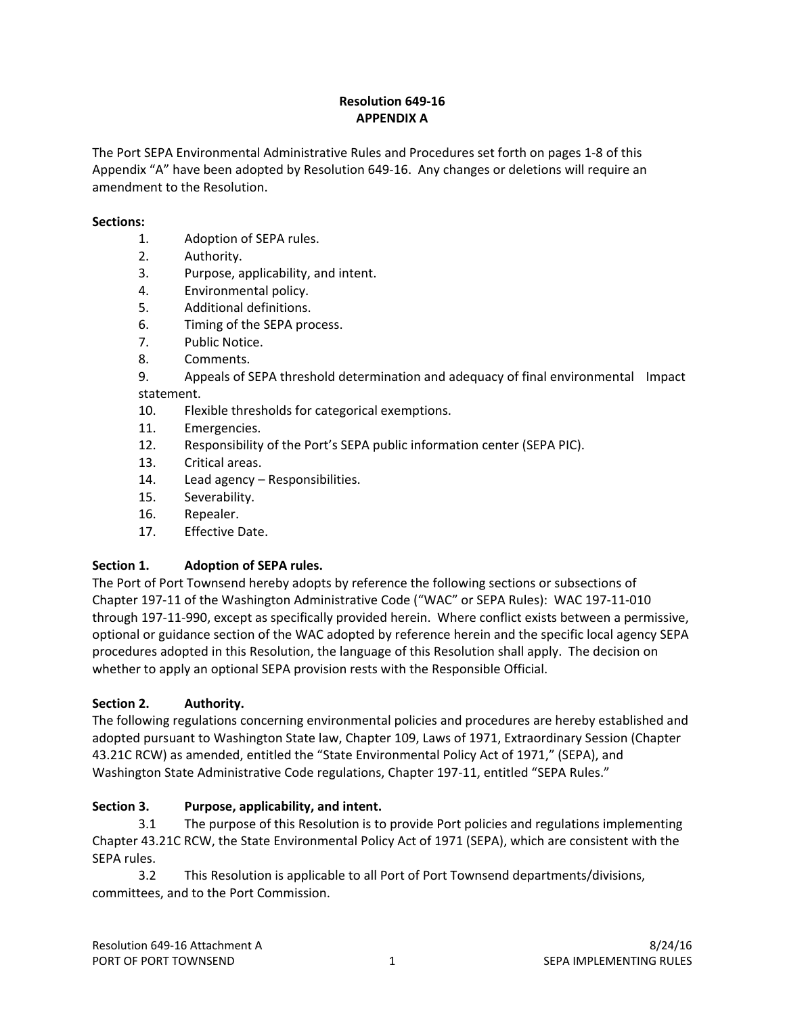## **Resolution 649‐16 APPENDIX A**

The Port SEPA Environmental Administrative Rules and Procedures set forth on pages 1‐8 of this Appendix "A" have been adopted by Resolution 649-16. Any changes or deletions will require an amendment to the Resolution.

#### **Sections:**

- 1. Adoption of SEPA rules.
- 2. Authority.
- 3. Purpose, applicability, and intent.
- 4. Environmental policy.
- 5. Additional definitions.
- 6. Timing of the SEPA process.
- 7. Public Notice.
- 8. Comments.

9. Appeals of SEPA threshold determination and adequacy of final environmental Impact statement.

- 10. Flexible thresholds for categorical exemptions.
- 11. Emergencies.
- 12. Responsibility of the Port's SEPA public information center (SEPA PIC).
- 13. Critical areas.
- 14. Lead agency Responsibilities.
- 15. Severability.
- 16. Repealer.
- 17. Effective Date.

### **Section 1. Adoption of SEPA rules.**

The Port of Port Townsend hereby adopts by reference the following sections or subsections of Chapter 197‐11 of the Washington Administrative Code ("WAC" or SEPA Rules): WAC 197‐11‐010 through 197‐11‐990, except as specifically provided herein. Where conflict exists between a permissive, optional or guidance section of the WAC adopted by reference herein and the specific local agency SEPA procedures adopted in this Resolution, the language of this Resolution shall apply. The decision on whether to apply an optional SEPA provision rests with the Responsible Official.

### **Section 2. Authority.**

The following regulations concerning environmental policies and procedures are hereby established and adopted pursuant to Washington State law, Chapter 109, Laws of 1971, Extraordinary Session (Chapter 43.21C RCW) as amended, entitled the "State Environmental Policy Act of 1971," (SEPA), and Washington State Administrative Code regulations, Chapter 197‐11, entitled "SEPA Rules."

### **Section 3. Purpose, applicability, and intent.**

3.1 The purpose of this Resolution is to provide Port policies and regulations implementing Chapter 43.21C RCW, the State Environmental Policy Act of 1971 (SEPA), which are consistent with the SEPA rules.

3.2 This Resolution is applicable to all Port of Port Townsend departments/divisions, committees, and to the Port Commission.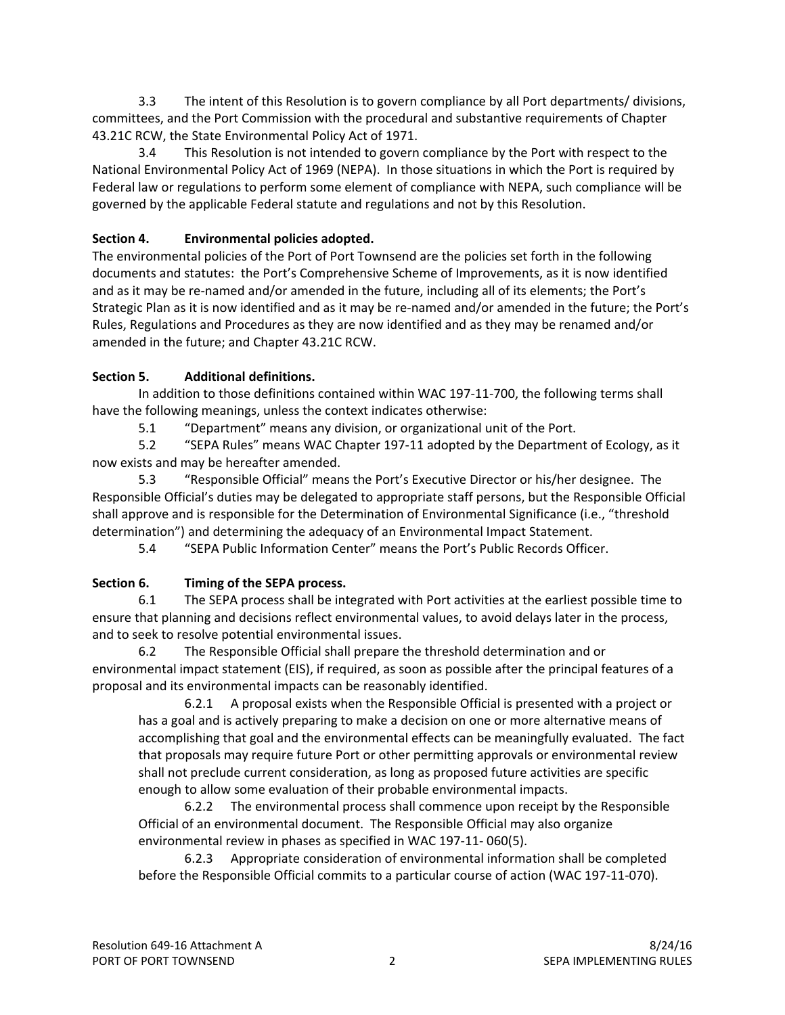3.3 The intent of this Resolution is to govern compliance by all Port departments/ divisions, committees, and the Port Commission with the procedural and substantive requirements of Chapter 43.21C RCW, the State Environmental Policy Act of 1971.

3.4 This Resolution is not intended to govern compliance by the Port with respect to the National Environmental Policy Act of 1969 (NEPA). In those situations in which the Port is required by Federal law or regulations to perform some element of compliance with NEPA, such compliance will be governed by the applicable Federal statute and regulations and not by this Resolution.

# **Section 4. Environmental policies adopted.**

The environmental policies of the Port of Port Townsend are the policies set forth in the following documents and statutes: the Port's Comprehensive Scheme of Improvements, as it is now identified and as it may be re-named and/or amended in the future, including all of its elements; the Port's Strategic Plan as it is now identified and as it may be re‐named and/or amended in the future; the Port's Rules, Regulations and Procedures as they are now identified and as they may be renamed and/or amended in the future; and Chapter 43.21C RCW.

# **Section 5. Additional definitions.**

In addition to those definitions contained within WAC 197‐11‐700, the following terms shall have the following meanings, unless the context indicates otherwise:

5.1 "Department" means any division, or organizational unit of the Port.

5.2 "SEPA Rules" means WAC Chapter 197‐11 adopted by the Department of Ecology, as it now exists and may be hereafter amended.

5.3 "Responsible Official" means the Port's Executive Director or his/her designee. The Responsible Official's duties may be delegated to appropriate staff persons, but the Responsible Official shall approve and is responsible for the Determination of Environmental Significance (i.e., "threshold determination") and determining the adequacy of an Environmental Impact Statement.

5.4 "SEPA Public Information Center" means the Port's Public Records Officer.

# **Section 6. Timing of the SEPA process.**

6.1 The SEPA process shall be integrated with Port activities at the earliest possible time to ensure that planning and decisions reflect environmental values, to avoid delays later in the process, and to seek to resolve potential environmental issues.

6.2 The Responsible Official shall prepare the threshold determination and or environmental impact statement (EIS), if required, as soon as possible after the principal features of a proposal and its environmental impacts can be reasonably identified.

6.2.1 A proposal exists when the Responsible Official is presented with a project or has a goal and is actively preparing to make a decision on one or more alternative means of accomplishing that goal and the environmental effects can be meaningfully evaluated. The fact that proposals may require future Port or other permitting approvals or environmental review shall not preclude current consideration, as long as proposed future activities are specific enough to allow some evaluation of their probable environmental impacts.

6.2.2 The environmental process shall commence upon receipt by the Responsible Official of an environmental document. The Responsible Official may also organize environmental review in phases as specified in WAC 197‐11‐ 060(5).

6.2.3 Appropriate consideration of environmental information shall be completed before the Responsible Official commits to a particular course of action (WAC 197‐11‐070).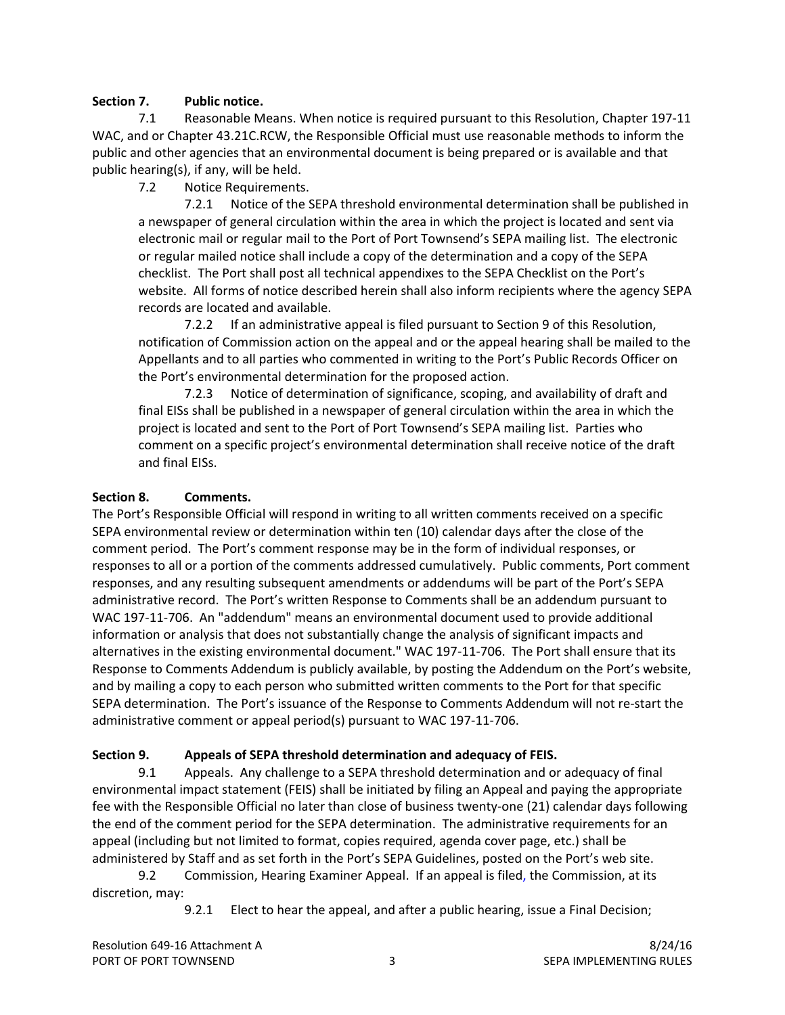#### **Section 7. Public notice.**

7.1 Reasonable Means. When notice is required pursuant to this Resolution, Chapter 197‐11 WAC, and or Chapter 43.21C.RCW, the Responsible Official must use reasonable methods to inform the public and other agencies that an environmental document is being prepared or is available and that public hearing(s), if any, will be held.

7.2 Notice Requirements.

7.2.1 Notice of the SEPA threshold environmental determination shall be published in a newspaper of general circulation within the area in which the project is located and sent via electronic mail or regular mail to the Port of Port Townsend's SEPA mailing list. The electronic or regular mailed notice shall include a copy of the determination and a copy of the SEPA checklist. The Port shall post all technical appendixes to the SEPA Checklist on the Port's website. All forms of notice described herein shall also inform recipients where the agency SEPA records are located and available.

7.2.2 If an administrative appeal is filed pursuant to Section 9 of this Resolution, notification of Commission action on the appeal and or the appeal hearing shall be mailed to the Appellants and to all parties who commented in writing to the Port's Public Records Officer on the Port's environmental determination for the proposed action.

7.2.3 Notice of determination of significance, scoping, and availability of draft and final EISs shall be published in a newspaper of general circulation within the area in which the project is located and sent to the Port of Port Townsend's SEPA mailing list. Parties who comment on a specific project's environmental determination shall receive notice of the draft and final EISs.

#### **Section 8. Comments.**

The Port's Responsible Official will respond in writing to all written comments received on a specific SEPA environmental review or determination within ten (10) calendar days after the close of the comment period. The Port's comment response may be in the form of individual responses, or responses to all or a portion of the comments addressed cumulatively. Public comments, Port comment responses, and any resulting subsequent amendments or addendums will be part of the Port's SEPA administrative record. The Port's written Response to Comments shall be an addendum pursuant to WAC 197‐11‐706. An "addendum" means an environmental document used to provide additional information or analysis that does not substantially change the analysis of significant impacts and alternatives in the existing environmental document." WAC 197‐11‐706. The Port shall ensure that its Response to Comments Addendum is publicly available, by posting the Addendum on the Port's website, and by mailing a copy to each person who submitted written comments to the Port for that specific SEPA determination. The Port's issuance of the Response to Comments Addendum will not re‐start the administrative comment or appeal period(s) pursuant to WAC 197‐11‐706.

### **Section 9. Appeals of SEPA threshold determination and adequacy of FEIS.**

9.1 Appeals. Any challenge to a SEPA threshold determination and or adequacy of final environmental impact statement (FEIS) shall be initiated by filing an Appeal and paying the appropriate fee with the Responsible Official no later than close of business twenty-one (21) calendar days following the end of the comment period for the SEPA determination. The administrative requirements for an appeal (including but not limited to format, copies required, agenda cover page, etc.) shall be administered by Staff and as set forth in the Port's SEPA Guidelines, posted on the Port's web site.

9.2 Commission, Hearing Examiner Appeal. If an appeal is filed, the Commission, at its discretion, may:

9.2.1 Elect to hear the appeal, and after a public hearing, issue a Final Decision;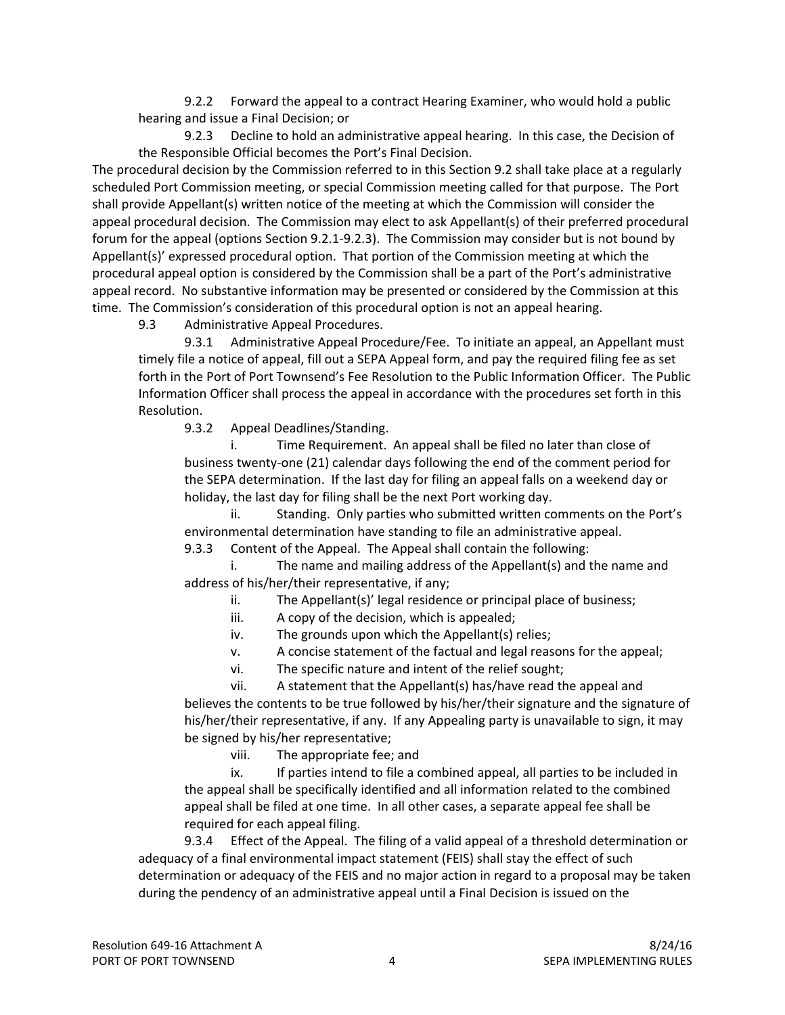9.2.2 Forward the appeal to a contract Hearing Examiner, who would hold a public hearing and issue a Final Decision; or

9.2.3 Decline to hold an administrative appeal hearing. In this case, the Decision of the Responsible Official becomes the Port's Final Decision.

The procedural decision by the Commission referred to in this Section 9.2 shall take place at a regularly scheduled Port Commission meeting, or special Commission meeting called for that purpose. The Port shall provide Appellant(s) written notice of the meeting at which the Commission will consider the appeal procedural decision. The Commission may elect to ask Appellant(s) of their preferred procedural forum for the appeal (options Section 9.2.1‐9.2.3). The Commission may consider but is not bound by Appellant(s)' expressed procedural option. That portion of the Commission meeting at which the procedural appeal option is considered by the Commission shall be a part of the Port's administrative appeal record. No substantive information may be presented or considered by the Commission at this time. The Commission's consideration of this procedural option is not an appeal hearing.

9.3 Administrative Appeal Procedures.

9.3.1 Administrative Appeal Procedure/Fee. To initiate an appeal, an Appellant must timely file a notice of appeal, fill out a SEPA Appeal form, and pay the required filing fee as set forth in the Port of Port Townsend's Fee Resolution to the Public Information Officer. The Public Information Officer shall process the appeal in accordance with the procedures set forth in this Resolution.

9.3.2 Appeal Deadlines/Standing.

i. Time Requirement. An appeal shall be filed no later than close of business twenty‐one (21) calendar days following the end of the comment period for the SEPA determination. If the last day for filing an appeal falls on a weekend day or holiday, the last day for filing shall be the next Port working day.

ii. Standing. Only parties who submitted written comments on the Port's environmental determination have standing to file an administrative appeal.

9.3.3 Content of the Appeal. The Appeal shall contain the following:

i. The name and mailing address of the Appellant(s) and the name and address of his/her/their representative, if any;

ii. The Appellant(s)' legal residence or principal place of business;

- iii. A copy of the decision, which is appealed;
- iv. The grounds upon which the Appellant(s) relies;
- v. A concise statement of the factual and legal reasons for the appeal;

vi. The specific nature and intent of the relief sought;

vii. A statement that the Appellant(s) has/have read the appeal and believes the contents to be true followed by his/her/their signature and the signature of his/her/their representative, if any. If any Appealing party is unavailable to sign, it may be signed by his/her representative;

viii. The appropriate fee; and

ix. If parties intend to file a combined appeal, all parties to be included in the appeal shall be specifically identified and all information related to the combined appeal shall be filed at one time. In all other cases, a separate appeal fee shall be required for each appeal filing.

9.3.4 Effect of the Appeal. The filing of a valid appeal of a threshold determination or adequacy of a final environmental impact statement (FEIS) shall stay the effect of such determination or adequacy of the FEIS and no major action in regard to a proposal may be taken during the pendency of an administrative appeal until a Final Decision is issued on the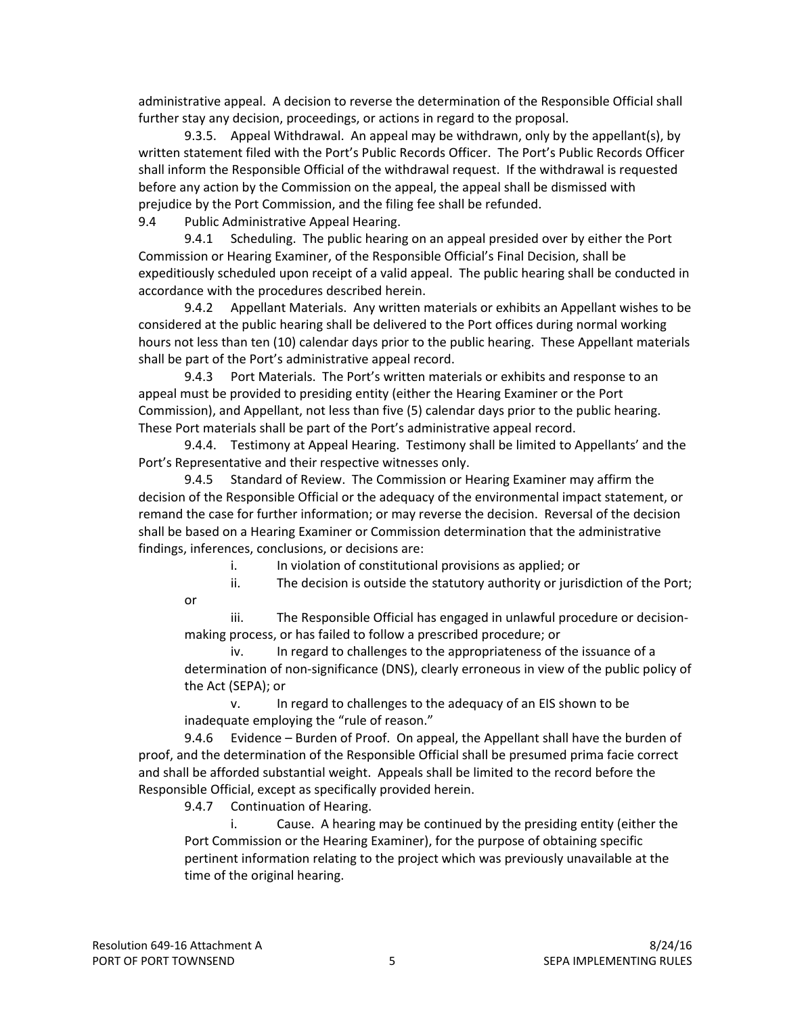administrative appeal. A decision to reverse the determination of the Responsible Official shall further stay any decision, proceedings, or actions in regard to the proposal.

9.3.5. Appeal Withdrawal. An appeal may be withdrawn, only by the appellant(s), by written statement filed with the Port's Public Records Officer. The Port's Public Records Officer shall inform the Responsible Official of the withdrawal request. If the withdrawal is requested before any action by the Commission on the appeal, the appeal shall be dismissed with prejudice by the Port Commission, and the filing fee shall be refunded.

9.4 Public Administrative Appeal Hearing.

9.4.1 Scheduling. The public hearing on an appeal presided over by either the Port Commission or Hearing Examiner, of the Responsible Official's Final Decision, shall be expeditiously scheduled upon receipt of a valid appeal. The public hearing shall be conducted in accordance with the procedures described herein.

9.4.2 Appellant Materials. Any written materials or exhibits an Appellant wishes to be considered at the public hearing shall be delivered to the Port offices during normal working hours not less than ten (10) calendar days prior to the public hearing. These Appellant materials shall be part of the Port's administrative appeal record.

9.4.3 Port Materials. The Port's written materials or exhibits and response to an appeal must be provided to presiding entity (either the Hearing Examiner or the Port Commission), and Appellant, not less than five (5) calendar days prior to the public hearing. These Port materials shall be part of the Port's administrative appeal record.

9.4.4. Testimony at Appeal Hearing. Testimony shall be limited to Appellants' and the Port's Representative and their respective witnesses only.

9.4.5 Standard of Review. The Commission or Hearing Examiner may affirm the decision of the Responsible Official or the adequacy of the environmental impact statement, or remand the case for further information; or may reverse the decision. Reversal of the decision shall be based on a Hearing Examiner or Commission determination that the administrative findings, inferences, conclusions, or decisions are:

i. In violation of constitutional provisions as applied; or

ii. The decision is outside the statutory authority or jurisdiction of the Port;

iii. The Responsible Official has engaged in unlawful procedure or decision‐ making process, or has failed to follow a prescribed procedure; or

iv. In regard to challenges to the appropriateness of the issuance of a determination of non‐significance (DNS), clearly erroneous in view of the public policy of the Act (SEPA); or

v. In regard to challenges to the adequacy of an EIS shown to be inadequate employing the "rule of reason."

9.4.6 Evidence – Burden of Proof. On appeal, the Appellant shall have the burden of proof, and the determination of the Responsible Official shall be presumed prima facie correct and shall be afforded substantial weight. Appeals shall be limited to the record before the Responsible Official, except as specifically provided herein.

9.4.7 Continuation of Hearing.

i. Cause. A hearing may be continued by the presiding entity (either the Port Commission or the Hearing Examiner), for the purpose of obtaining specific pertinent information relating to the project which was previously unavailable at the time of the original hearing.

or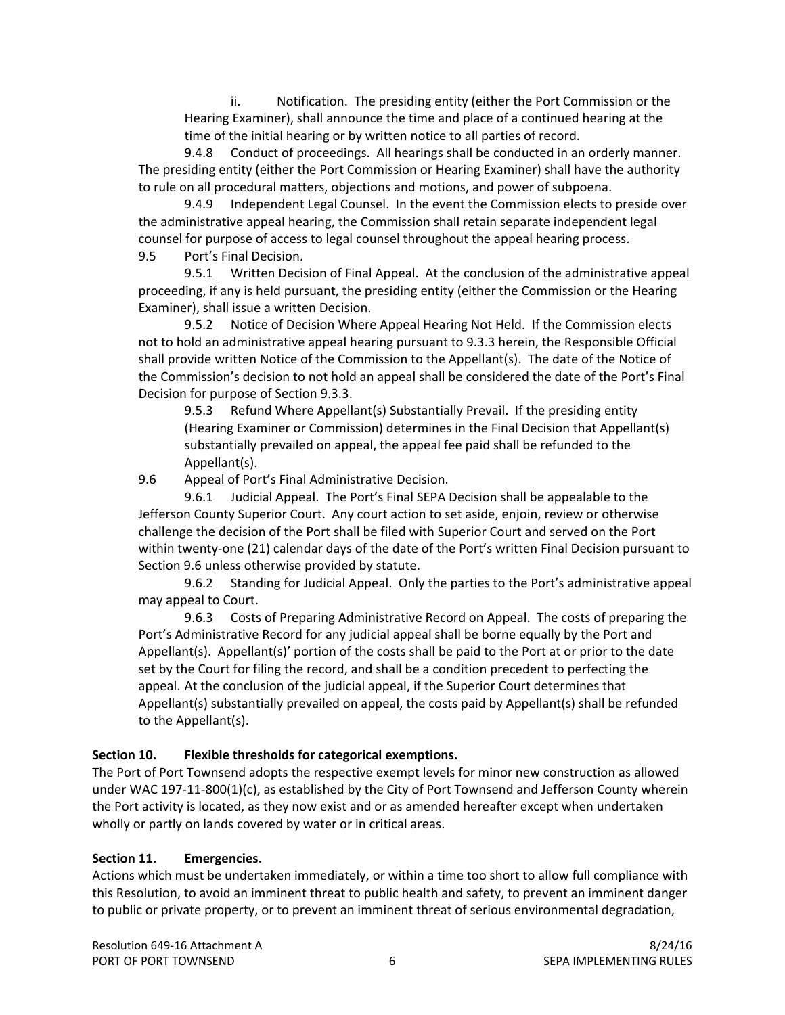ii. Notification. The presiding entity (either the Port Commission or the Hearing Examiner), shall announce the time and place of a continued hearing at the time of the initial hearing or by written notice to all parties of record.

9.4.8 Conduct of proceedings. All hearings shall be conducted in an orderly manner. The presiding entity (either the Port Commission or Hearing Examiner) shall have the authority to rule on all procedural matters, objections and motions, and power of subpoena.

9.4.9 Independent Legal Counsel. In the event the Commission elects to preside over the administrative appeal hearing, the Commission shall retain separate independent legal counsel for purpose of access to legal counsel throughout the appeal hearing process. 9.5 Port's Final Decision.

9.5.1 Written Decision of Final Appeal. At the conclusion of the administrative appeal proceeding, if any is held pursuant, the presiding entity (either the Commission or the Hearing Examiner), shall issue a written Decision.

9.5.2 Notice of Decision Where Appeal Hearing Not Held. If the Commission elects not to hold an administrative appeal hearing pursuant to 9.3.3 herein, the Responsible Official shall provide written Notice of the Commission to the Appellant(s). The date of the Notice of the Commission's decision to not hold an appeal shall be considered the date of the Port's Final Decision for purpose of Section 9.3.3.

9.5.3 Refund Where Appellant(s) Substantially Prevail. If the presiding entity (Hearing Examiner or Commission) determines in the Final Decision that Appellant(s) substantially prevailed on appeal, the appeal fee paid shall be refunded to the Appellant(s).

9.6 Appeal of Port's Final Administrative Decision.

9.6.1 Judicial Appeal. The Port's Final SEPA Decision shall be appealable to the Jefferson County Superior Court. Any court action to set aside, enjoin, review or otherwise challenge the decision of the Port shall be filed with Superior Court and served on the Port within twenty-one (21) calendar days of the date of the Port's written Final Decision pursuant to Section 9.6 unless otherwise provided by statute.

9.6.2 Standing for Judicial Appeal. Only the parties to the Port's administrative appeal may appeal to Court.

9.6.3 Costs of Preparing Administrative Record on Appeal. The costs of preparing the Port's Administrative Record for any judicial appeal shall be borne equally by the Port and Appellant(s). Appellant(s)' portion of the costs shall be paid to the Port at or prior to the date set by the Court for filing the record, and shall be a condition precedent to perfecting the appeal. At the conclusion of the judicial appeal, if the Superior Court determines that Appellant(s) substantially prevailed on appeal, the costs paid by Appellant(s) shall be refunded to the Appellant(s).

### **Section 10. Flexible thresholds for categorical exemptions.**

The Port of Port Townsend adopts the respective exempt levels for minor new construction as allowed under WAC 197-11-800(1)(c), as established by the City of Port Townsend and Jefferson County wherein the Port activity is located, as they now exist and or as amended hereafter except when undertaken wholly or partly on lands covered by water or in critical areas.

### **Section 11. Emergencies.**

Actions which must be undertaken immediately, or within a time too short to allow full compliance with this Resolution, to avoid an imminent threat to public health and safety, to prevent an imminent danger to public or private property, or to prevent an imminent threat of serious environmental degradation,